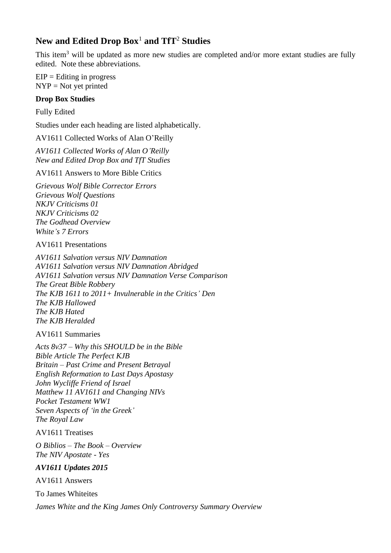# **New and Edited Drop Box**<sup>1</sup> **and TfT**<sup>2</sup> **Studies**

This item<sup>3</sup> will be updated as more new studies are completed and/or more extant studies are fully edited. Note these abbreviations.

 $EIP =$ Editing in progress  $NYP = Not$  yet printed

#### **Drop Box Studies**

Fully Edited

Studies under each heading are listed alphabetically.

AV1611 Collected Works of Alan O'Reilly

*AV1611 Collected Works of Alan O'Reilly New and Edited Drop Box and TfT Studies*

AV1611 Answers to More Bible Critics

*Grievous Wolf Bible Corrector Errors Grievous Wolf Questions NKJV Criticisms 01 NKJV Criticisms 02 The Godhead Overview White's 7 Errors*

AV1611 Presentations

*AV1611 Salvation versus NIV Damnation AV1611 Salvation versus NIV Damnation Abridged AV1611 Salvation versus NIV Damnation Verse Comparison The Great Bible Robbery The KJB 1611 to 2011+ Invulnerable in the Critics' Den The KJB Hallowed The KJB Hated The KJB Heralded*

AV1611 Summaries

*Acts 8v37 – Why this SHOULD be in the Bible Bible Article The Perfect KJB Britain – Past Crime and Present Betrayal English Reformation to Last Days Apostasy John Wycliffe Friend of Israel Matthew 11 AV1611 and Changing NIVs Pocket Testament WW1 Seven Aspects of 'in the Greek' The Royal Law*

AV1611 Treatises

*O Biblios – The Book – Overview The NIV Apostate - Yes*

*AV1611 Updates 2015*

AV1611 Answers

To James Whiteites

*James White and the King James Only Controversy Summary Overview*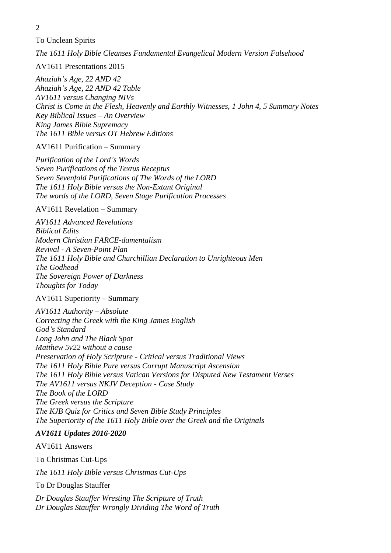To Unclean Spirits

*The 1611 Holy Bible Cleanses Fundamental Evangelical Modern Version Falsehood*

AV1611 Presentations 2015

*Ahaziah's Age, 22 AND 42 Ahaziah's Age, 22 AND 42 Table AV1611 versus Changing NIVs Christ is Come in the Flesh, Heavenly and Earthly Witnesses, 1 John 4, 5 Summary Notes Key Biblical Issues – An Overview King James Bible Supremacy The 1611 Bible versus OT Hebrew Editions*

AV1611 Purification – Summary

*Purification of the Lord's Words Seven Purifications of the Textus Receptus Seven Sevenfold Purifications of The Words of the LORD The 1611 Holy Bible versus the Non-Extant Original The words of the LORD, Seven Stage Purification Processes*

AV1611 Revelation – Summary

*AV1611 Advanced Revelations Biblical Edits Modern Christian FARCE-damentalism Revival - A Seven-Point Plan The 1611 Holy Bible and Churchillian Declaration to Unrighteous Men The Godhead The Sovereign Power of Darkness Thoughts for Today*

AV1611 Superiority – Summary

*AV1611 Authority – Absolute Correcting the Greek with the King James English God's Standard Long John and The Black Spot Matthew 5v22 without a cause Preservation of Holy Scripture - Critical versus Traditional Views The 1611 Holy Bible Pure versus Corrupt Manuscript Ascension The 1611 Holy Bible versus Vatican Versions for Disputed New Testament Verses The AV1611 versus NKJV Deception - Case Study The Book of the LORD The Greek versus the Scripture The KJB Quiz for Critics and Seven Bible Study Principles The Superiority of the 1611 Holy Bible over the Greek and the Originals*

## *AV1611 Updates 2016-2020*

AV1611 Answers

To Christmas Cut-Ups

*The 1611 Holy Bible versus Christmas Cut-Ups*

To Dr Douglas Stauffer

*Dr Douglas Stauffer Wresting The Scripture of Truth Dr Douglas Stauffer Wrongly Dividing The Word of Truth*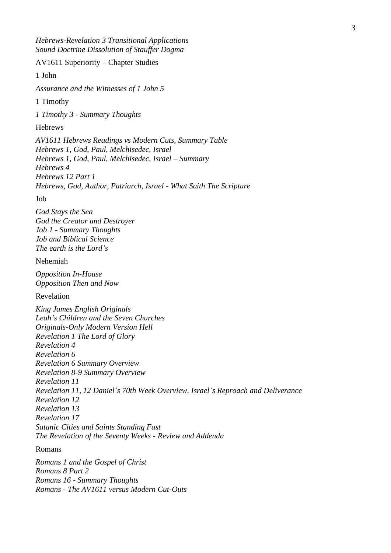*Hebrews-Revelation 3 Transitional Applications Sound Doctrine Dissolution of Stauffer Dogma*

AV1611 Superiority – Chapter Studies

1 John

*Assurance and the Witnesses of 1 John 5*

1 Timothy

*1 Timothy 3 - Summary Thoughts*

#### Hebrews

*AV1611 Hebrews Readings vs Modern Cuts, Summary Table Hebrews 1, God, Paul, Melchisedec, Israel Hebrews 1, God, Paul, Melchisedec, Israel – Summary Hebrews 4 Hebrews 12 Part 1 Hebrews, God, Author, Patriarch, Israel - What Saith The Scripture*

Job

*God Stays the Sea God the Creator and Destroyer Job 1 - Summary Thoughts Job and Biblical Science The earth is the Lord's*

#### Nehemiah

*Opposition In-House Opposition Then and Now*

Revelation

*King James English Originals Leah's Children and the Seven Churches Originals-Only Modern Version Hell Revelation 1 The Lord of Glory Revelation 4 Revelation 6 Revelation 6 Summary Overview Revelation 8-9 Summary Overview Revelation 11 Revelation 11, 12 Daniel's 70th Week Overview, Israel's Reproach and Deliverance Revelation 12 Revelation 13 Revelation 17 Satanic Cities and Saints Standing Fast The Revelation of the Seventy Weeks - Review and Addenda*

#### Romans

*Romans 1 and the Gospel of Christ Romans 8 Part 2 Romans 16 - Summary Thoughts Romans - The AV1611 versus Modern Cut-Outs*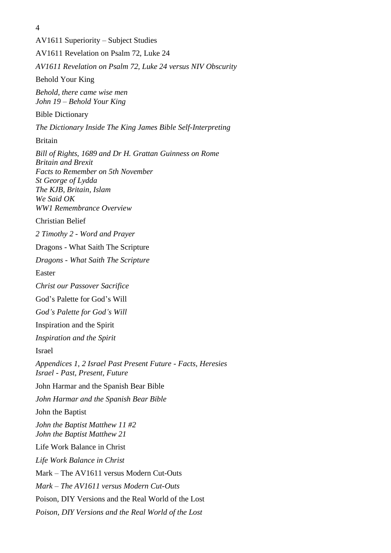AV1611 Superiority – Subject Studies AV1611 Revelation on Psalm 72, Luke 24 *AV1611 Revelation on Psalm 72, Luke 24 versus NIV Obscurity* Behold Your King *Behold, there came wise men John 19 – Behold Your King* Bible Dictionary *The Dictionary Inside The King James Bible Self-Interpreting* Britain *Bill of Rights, 1689 and Dr H. Grattan Guinness on Rome Britain and Brexit Facts to Remember on 5th November St George of Lydda The KJB, Britain, Islam We Said OK WW1 Remembrance Overview* Christian Belief *2 Timothy 2 - Word and Prayer* Dragons - What Saith The Scripture *Dragons - What Saith The Scripture* Easter *Christ our Passover Sacrifice* God's Palette for God's Will *God's Palette for God's Will* Inspiration and the Spirit *Inspiration and the Spirit* Israel *Appendices 1, 2 Israel Past Present Future - Facts, Heresies Israel - Past, Present, Future* John Harmar and the Spanish Bear Bible *John Harmar and the Spanish Bear Bible* John the Baptist *John the Baptist Matthew 11 #2 John the Baptist Matthew 21* Life Work Balance in Christ *Life Work Balance in Christ* Mark – The AV1611 versus Modern Cut-Outs *Mark – The AV1611 versus Modern Cut-Outs* Poison, DIY Versions and the Real World of the Lost *Poison, DIY Versions and the Real World of the Lost*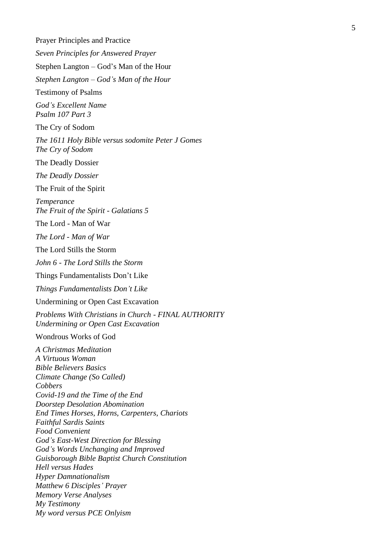Prayer Principles and Practice *Seven Principles for Answered Prayer* Stephen Langton – God's Man of the Hour *Stephen Langton – God's Man of the Hour* Testimony of Psalms *God's Excellent Name Psalm 107 Part 3* The Cry of Sodom *The 1611 Holy Bible versus sodomite Peter J Gomes The Cry of Sodom* The Deadly Dossier *The Deadly Dossier* The Fruit of the Spirit *Temperance The Fruit of the Spirit - Galatians 5* The Lord - Man of War *The Lord - Man of War* The Lord Stills the Storm *John 6 - The Lord Stills the Storm* Things Fundamentalists Don't Like *Things Fundamentalists Don't Like* Undermining or Open Cast Excavation *Problems With Christians in Church - FINAL AUTHORITY Undermining or Open Cast Excavation* Wondrous Works of God *A Christmas Meditation A Virtuous Woman Bible Believers Basics Climate Change (So Called) Cobbers Covid-19 and the Time of the End Doorstep Desolation Abomination End Times Horses, Horns, Carpenters, Chariots Faithful Sardis Saints Food Convenient God's East-West Direction for Blessing God's Words Unchanging and Improved Guisborough Bible Baptist Church Constitution Hell versus Hades Hyper Damnationalism Matthew 6 Disciples' Prayer Memory Verse Analyses My Testimony My word versus PCE Onlyism*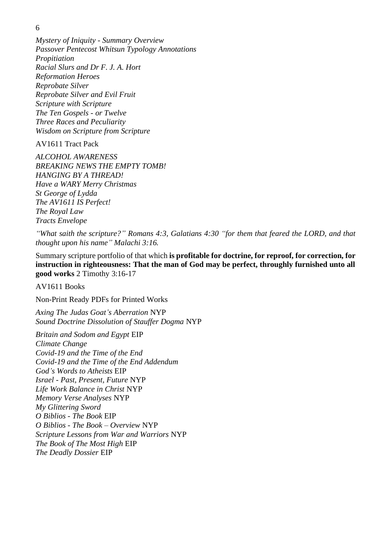*Mystery of Iniquity - Summary Overview Passover Pentecost Whitsun Typology Annotations Propitiation Racial Slurs and Dr F. J. A. Hort Reformation Heroes Reprobate Silver Reprobate Silver and Evil Fruit Scripture with Scripture The Ten Gospels - or Twelve Three Races and Peculiarity Wisdom on Scripture from Scripture*

AV1611 Tract Pack

*ALCOHOL AWARENESS BREAKING NEWS THE EMPTY TOMB! HANGING BY A THREAD! Have a WARY Merry Christmas St George of Lydda The AV1611 IS Perfect! The Royal Law Tracts Envelope*

*"What saith the scripture?" Romans 4:3, Galatians 4:30 "for them that feared the LORD, and that thought upon his name" Malachi 3:16.*

Summary scripture portfolio of that which **is profitable for doctrine, for reproof, for correction, for instruction in righteousness: That the man of God may be perfect, throughly furnished unto all good works** 2 Timothy 3:16-17

AV1611 Books

Non-Print Ready PDFs for Printed Works

*Axing The Judas Goat's Aberration* NYP *Sound Doctrine Dissolution of Stauffer Dogma* NYP

*Britain and Sodom and Egypt* EIP *Climate Change Covid-19 and the Time of the End Covid-19 and the Time of the End Addendum God's Words to Atheists* EIP *Israel - Past, Present, Future* NYP *Life Work Balance in Christ* NYP *Memory Verse Analyses* NYP *My Glittering Sword O Biblios - The Book* EIP *O Biblios - The Book – Overview* NYP *Scripture Lessons from War and Warriors* NYP *The Book of The Most High* EIP *The Deadly Dossier* EIP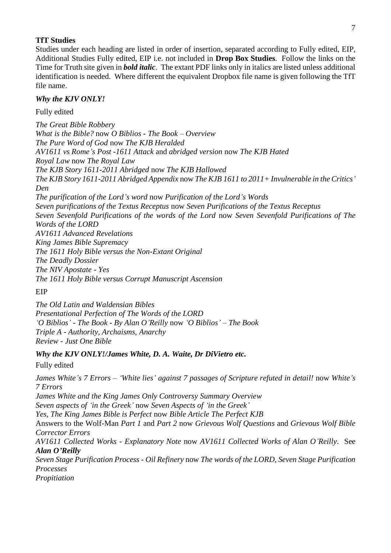#### **TfT Studies**

Studies under each heading are listed in order of insertion, separated according to Fully edited, EIP, Additional Studies Fully edited, EIP i.e. not included in **Drop Box Studies**. Follow the links on the Time for Truth site given in *bold italic*. The extant PDF links only in italics are listed unless additional identification is needed. Where different the equivalent Dropbox file name is given following the TfT file name.

#### *Why the KJV ONLY!*

Fully edited

*The Great Bible Robbery What is the Bible?* now *O Biblios - The Book – Overview The Pure Word of God* now *The KJB Heralded [AV1611 vs Rome's Post -1611 Attack](https://www.timefortruth.co.uk/content/pages/documents/1570393667.pdf)* and *[abridged version](https://www.timefortruth.co.uk/content/pages/documents/1570393667.pdf)* now *The KJB Hated Royal Law* now *The Royal Law [The KJB Story 1611-2011](https://www.timefortruth.co.uk/content/pages/documents/1431194066.pdf) Abridged* now *The KJB Hallowed [The KJB Story 1611-2011 Abridged Appendix](https://www.timefortruth.co.uk/content/pages/documents/1570393783.pdf)* now *The KJB 1611 to 2011+ Invulnerable in the Critics' Den [The purification of the Lord's word](https://www.timefortruth.co.uk/content/pages/documents/1589917500.pdf)* now *Purification of the Lord's Words [Seven purifications of the Textus Receptus](https://www.timefortruth.co.uk/content/pages/documents/1570393908.pdf)* now *Seven Purifications of the Textus Receptus [Seven Sevenfold Purifications of the words of the Lord](https://www.timefortruth.co.uk/content/pages/documents/1570393965.pdf)* now *Seven Sevenfold Purifications of The Words of the LORD [AV1611 Advanced Revelations](https://www.timefortruth.co.uk/content/pages/documents/1373739225.pdf) [King James Bible Supremacy](https://www.timefortruth.co.uk/content/pages/documents/1588275009.pdf) [The 1611 Holy Bible versus the Non-Extant Original](https://www.timefortruth.co.uk/content/pages/documents/1588275049.pdf) [The Deadly Dossier](https://www.timefortruth.co.uk/content/pages/documents/1582569914.pdf)  [The NIV Apostate -](https://www.timefortruth.co.uk/content/pages/documents/1570470532.pdf) Yes [The 1611 Holy Bible versus Corrupt Manuscript Ascension](https://www.timefortruth.co.uk/content/pages/documents/1589920514.pdf)*

EIP

*The Old Latin and Waldensian Bibles Presentational Perfection of The Words of the LORD ['O Biblios'](https://www.timefortruth.co.uk/content/pages/documents/1588274973.pdf) - The Book - [By Alan O'Reilly](https://www.timefortruth.co.uk/content/pages/documents/1588274973.pdf)* now *'O Biblios' – The Book Triple A - Authority, Archaisms, Anarchy Review - Just One Bible*

#### *Why the KJV ONLY!/James White, D. A. Waite, Dr DiVietro etc.*

Fully edited

*[James White's 7 Errors](https://www.timefortruth.co.uk/content/pages/documents/1581364753.pdf) – 'White lies' [against 7 passages of Scripture refuted in detail!](https://www.timefortruth.co.uk/content/pages/documents/1581364753.pdf)* now *White's 7 Errors [James White and the King James Only Controversy Summary Overview](https://www.timefortruth.co.uk/content/pages/documents/1588366464.pdf) [Seven aspects of 'in the Greek'](https://www.timefortruth.co.uk/content/pages/documents/1570644019.pdf)* now *Seven Aspects of 'in the Greek' [Yes, The King James Bible is Perfect](https://www.timefortruth.co.uk/content/pages/documents/1431868837.pdf)* now *Bible Article The Perfect KJB* Answers to the Wolf-Man *[Part 1](https://www.timefortruth.co.uk/content/pages/documents/1570644154.pdf)* and *[Part 2](https://www.timefortruth.co.uk/content/pages/documents/1570644202.pdf)* now *Grievous Wolf Questions* and *Grievous Wolf Bible Corrector Errors [AV1611 Collected Works](https://www.timefortruth.co.uk/content/pages/documents/1502220301.pdf) - Explanatory Note* now *AV1611 Collected Works of Alan O'Reilly*. See *Alan O'Reilly [Seven Stage Purification Process -](https://www.timefortruth.co.uk/content/pages/documents/1466694916.pdf) Oil Refinery* now *The words of the LORD, Seven Stage Purification Processes [Propitiation](https://www.timefortruth.co.uk/content/pages/documents/1431868782.pdf)*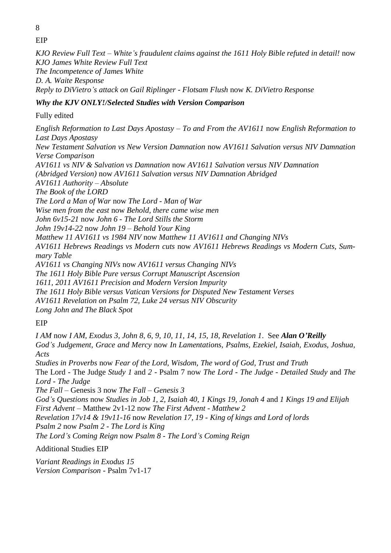8 EIP

*[KJO Review Full Text](https://www.timefortruth.co.uk/content/pages/documents/1581364853.pdf) – [White's fraudulent claims against the 1611 Holy Bible refuted in detail!](https://www.timefortruth.co.uk/content/pages/documents/1581364853.pdf)* now *KJO James White Review Full Text [The Incompetence of James White](https://www.timefortruth.co.uk/content/pages/documents/1396705848.pdf) D. A. Waite Response [Reply to DiVietro's attack on Gail Riplinger](https://www.timefortruth.co.uk/content/pages/documents/1570644312.pdf) - [Flotsam Flush](https://www.timefortruth.co.uk/content/pages/documents/1570644312.pdf)* now *K. DiVietro Response*

## *Why the KJV ONLY!/Selected Studies with Version Comparison*

Fully edited

*English Reformation to Last Days Apostasy – To and From the AV1611* now *English Reformation to Last Days Apostasy [New Testament Salvation vs New Version Damnation](https://www.timefortruth.co.uk/content/pages/documents/1309715192.pdf)* now *AV1611 Salvation versus NIV Damnation Verse Comparison [AV1611 vs NIV & Salvation vs Damnation](https://www.timefortruth.co.uk/content/pages/documents/1570560981.pdf)* now *AV1611 Salvation versus NIV Damnation [\(Abridged Version\)](https://www.timefortruth.co.uk/content/pages/documents/1570561023.pdf)* now *AV1611 Salvation versus NIV Damnation Abridged AV1611 Authority – Absolute The Book of the LORD The Lord a Man of War* now *The Lord - Man of War Wise men from the east* now *Behold, there came wise men John 6v15-21* now *John 6 - The Lord Stills the Storm John 19v14-22* now *John 19 – Behold Your King Matthew 11 AV1611 vs 1984 NIV* now *Matthew 11 AV1611 and Changing NIVs AV1611 Hebrews Readings vs Modern cuts* now *AV1611 Hebrews Readings vs Modern Cuts, Summary Table AV1611 vs Changing NIVs* now *AV1611 versus Changing NIVs The 1611 Holy Bible Pure versus Corrupt Manuscript Ascension 1611, 2011 AV1611 Precision and Modern Version Impurity The 1611 Holy Bible versus Vatican Versions for Disputed New Testament Verses AV1611 Revelation on Psalm 72, Luke 24 versus NIV Obscurity Long John and The Black Spot*

EIP

*I AM* now *I AM, Exodus 3, John 8, 6, 9, 10, 11, 14, 15, 18, Revelation 1*. See *Alan O'Reilly [God's Judgement, Grace and Mercy](https://www.timefortruth.co.uk/content/pages/documents/1451246116.pdf)* now *In Lamentations, Psalms, Ezekiel, Isaiah, Exodus, Joshua, Acts Studies in Proverbs* now *Fear of the Lord, Wisdom, The word of God, Trust and Truth*

The Lord - The Judge *[Study 1](https://www.timefortruth.co.uk/content/pages/documents/1448584586.pdf)* and *[2](https://www.timefortruth.co.uk/content/pages/documents/1448584579.pdf)* - Psalm 7 now *The Lord - The Judge - Detailed Study* and *The Lord - The Judge*

*The Fall* – Genesis 3 now *The Fall – Genesis 3*

*[God's Questions](https://www.timefortruth.co.uk/content/pages/documents/1570561137.pdf)* now *Studies in Job 1, 2, Isaiah 40, 1 Kings 19, Jonah 4* and *1 Kings 19 and Elijah First Advent* – Matthew 2v1-12 now *The First Advent - Matthew 2*

*[Revelation 17v14 &](https://www.timefortruth.co.uk/content/pages/documents/1511819413.pdf) 19v11-16* now *Revelation 17, 19 - King of kings and Lord of lords*

*Psalm 2* now *Psalm 2 - The Lord is King*

*The Lord's Coming Reign* now *Psalm 8 - The Lord's Coming Reign*

Additional Studies EIP

*Variant Readings in Exodus 15 [Version Comparison](https://www.timefortruth.co.uk/content/pages/documents/1309716472.pdf) -* Psalm 7v1-17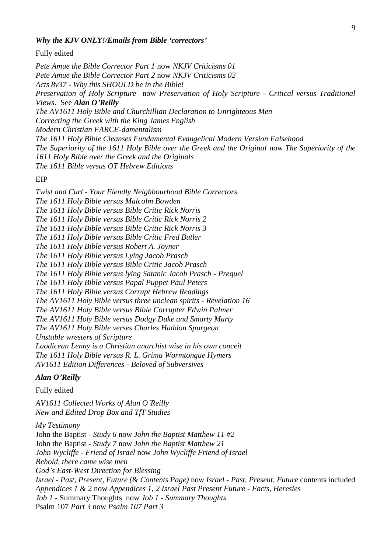#### *Why the KJV ONLY!/Emails from Bible 'correctors'*

Fully edited

*[Pete Amue the Bible Corrector Part 1](https://www.timefortruth.co.uk/content/pages/documents/1431277197.pdf)* now *NKJV Criticisms 01 [Pete Amue the Bible Corrector Part 2](https://www.timefortruth.co.uk/content/pages/documents/1570729308.pdf)* now *NKJV Criticisms 02 [Acts 8v37](https://www.timefortruth.co.uk/content/pages/documents/1568915444.pdf) - [Why this SHOULD be in the Bible!](https://www.timefortruth.co.uk/content/pages/documents/1568915444.pdf) Preservation of Holy Scripture* now *Preservation of Holy Scripture - Critical versus Traditional Views*. See *Alan O'Reilly [The AV1611 Holy Bible and Churchillian Declaration to Unrighteous Men](https://www.timefortruth.co.uk/content/pages/documents/1424996970.pdf) [Correcting the Greek with the King James English](https://www.timefortruth.co.uk/content/pages/documents/1449058349.pdf) Modern Christian FARCE-damentalism The 1611 Holy Bible Cleanses Fundamental Evangelical Modern Version Falsehood [The Superiority of the 1611 Holy Bible over the Greek and the Original](https://www.timefortruth.co.uk/content/pages/documents/1568915536.pdf)* now *[The Superiority of the](https://www.timefortruth.co.uk/content/pages/documents/1568915536.pdf)  [1611 Holy Bible over the Greek and the Originals](https://www.timefortruth.co.uk/content/pages/documents/1568915536.pdf) The 1611 Bible versus OT Hebrew Editions*

EIP

*Twist and Curl - [Your Fiendly Neighbourhood Bible Correctors](https://www.timefortruth.co.uk/content/pages/documents/1570729182.pdf) [The 1611 Holy Bible versus Malcolm Bowden](https://www.timefortruth.co.uk/content/pages/documents/1570729370.pdf)  [The 1611 Holy Bible versus Bible Critic Rick Norris](https://www.timefortruth.co.uk/content/pages/documents/1570729453.pdf) [The 1611 Holy Bible versus Bible Critic Rick Norris 2](https://www.timefortruth.co.uk/content/pages/documents/1570729523.pdf)  [The 1611 Holy Bible versus Bible Critic Rick Norris 3](https://www.timefortruth.co.uk/content/pages/documents/1570729578.pdf) [The 1611 Holy Bible versus Bible Critic Fred Butler](https://www.timefortruth.co.uk/content/pages/documents/1570975201.pdf) [The 1611 Holy Bible versus Robert A. Joyner](https://www.timefortruth.co.uk/content/pages/documents/1570975278.pdf) [The 1611 Holy Bible versus Lying Jacob Prasch](https://www.timefortruth.co.uk/content/pages/documents/1570975344.pdf) [The 1611 Holy Bible versus Bible Critic Jacob Prasch](https://www.timefortruth.co.uk/content/pages/documents/1570975445.pdf) [The 1611 Holy Bible versus lying Satanic Jacob Prasch -](https://www.timefortruth.co.uk/content/pages/documents/1570975621.pdf) Prequel [The 1611 Holy Bible versus Papal Puppet Paul Peters](https://www.timefortruth.co.uk/content/pages/documents/1570975719.pdf) [The 1611 Holy Bible versus Corrupt Hebrew Readings](https://www.timefortruth.co.uk/content/pages/documents/1570975897.pdf) [The AV1611 Holy Bible versus three unclean spirits](https://www.timefortruth.co.uk/content/pages/documents/1570986519.pdf) - Revelation 16 [The AV1611 Holy Bible versus Bible Corrupter Edwin Palmer](https://www.timefortruth.co.uk/content/pages/documents/1570986590.pdf) [The AV1611 Holy Bible versus Dodgy Duke and Smarty Marty](https://www.timefortruth.co.uk/content/pages/documents/1429983698.pdf) [The AV1611 Holy Bible verses Charles Haddon Spurgeon](https://www.timefortruth.co.uk/content/pages/documents/1570986697.pdf) [Unstable wresters of Scripture](https://www.timefortruth.co.uk/content/pages/documents/1355876781.pdf) [Laodicean Lenny is a Christian anarchist wise in his own conceit](https://www.timefortruth.co.uk/content/pages/documents/1570986765.pdf) [The 1611 Holy Bible versus R. L. Grima Wormtongue Hymers](https://www.timefortruth.co.uk/content/pages/documents/1516319404.pdf) [AV1611 Edition Differences -](https://www.timefortruth.co.uk/content/pages/documents/1570986915.pdf) Beloved of Subversives*

#### *Alan O'Reilly*

Fully edited

*AV1611 Collected Works of Alan O'Reilly New and Edited Drop Box and TfT Studies*

*My Testimony* John the Baptist - *Study 6* now *John the Baptist Matthew 11 #2* John the Baptist - *Study 7* now *John the Baptist Matthew 21 John Wycliffe - Friend of Israel* now *John Wycliffe Friend of Israel Behold, there came wise men God's East-West Direction for Blessing Israel - [Past, Present, Future](https://www.timefortruth.co.uk/content/pages/documents/1375649688.pdf) (*& *[Contents Page\)](https://www.timefortruth.co.uk/content/pages/documents/1338123931.pdf)* now *Israel - Past, Present, Future* contents included *[Appendices 1 &](https://www.timefortruth.co.uk/content/pages/documents/1375649868.pdf)* 2 now *Appendices 1, 2 Israel Past Present Future - Facts, Heresies Job 1* - Summary Thoughts now *Job 1 - Summary Thoughts* Psalm 107 *Part 3* now *Psalm 107 Part 3*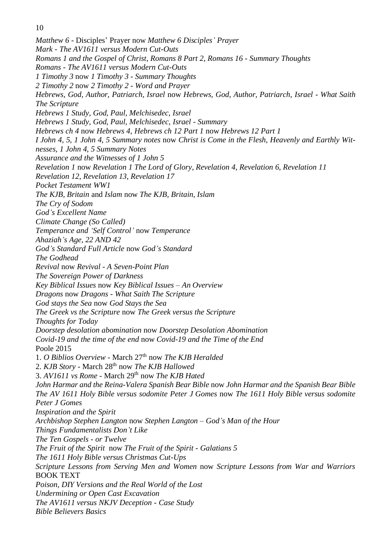*Matthew 6* - Disciples' Prayer now *Matthew 6 Disciples' Prayer [Mark](https://www.timefortruth.co.uk/content/pages/documents/1587581147.pdf) - [The AV1611 versus Modern Cut-Outs](https://www.timefortruth.co.uk/content/pages/documents/1587581147.pdf) Romans 1 and the Gospel of Christ*, *Romans 8 Part 2*, *Romans 16 - Summary Thoughts Romans - The AV1611 versus Modern Cut-Outs 1 Timothy 3* now *1 Timothy 3 - Summary Thoughts 2 Timothy 2* now *2 Timothy 2 - Word and Prayer [Hebrews, God, Author, Patriarch, Israel](https://www.timefortruth.co.uk/content/pages/documents/1370473144.pdf)* now *Hebrews, God, Author, Patriarch, Israel - What Saith The Scripture [Hebrews 1 Study, God, Paul, Melchisedec, Israel](https://www.timefortruth.co.uk/content/pages/documents/1369002023.pdf) [Hebrews 1 Study, God, Paul, Melchisedec, Israel -](https://www.timefortruth.co.uk/content/pages/documents/1367687594.pdf) Summary Hebrews ch 4* now *Hebrews 4*, *Hebrews ch 12 Part 1* now *Hebrews 12 Part 1 [I John 4,](https://www.timefortruth.co.uk/content/pages/documents/1571082789.pdf) 5, 1 John 4, [5 Summary notes](https://www.timefortruth.co.uk/content/pages/documents/1588452854.pdf)* now *Christ is Come in the Flesh, Heavenly and Earthly Witnesses, 1 John 4, 5 Summary Notes Assurance and the Witnesses of 1 John 5 Revelation 1* now *Revelation 1 The Lord of Glory*, *Revelation 4*, *Revelation 6*, *Revelation 11 Revelation 12*, *Revelation 13*, *Revelation 17 Pocket Testament WW1 The KJB, Britain* and *Islam* now *The KJB, Britain, Islam The Cry of Sodom God's Excellent Name Climate Change (So Called) Temperance and 'Self Control'* now *Temperance Ahaziah's Age, 22 AND 42 God's Standard Full Article* now *God's Standard The Godhead Revival* now *Revival - A Seven-Point Plan The Sovereign Power of Darkness Key Biblical Issues* now *Key Biblical Issues – An Overview Dragons* now *Dragons - What Saith The Scripture God stays the Sea* now *God Stays the Sea The Greek vs the Scripture* now *The Greek versus the Scripture Thoughts for Today Doorstep desolation abomination* now *Doorstep Desolation Abomination Covid-19 and the time of the end* now *Covid-19 and the Time of the End* Poole 2015 1. *[O Biblios Overview](https://www.timefortruth.co.uk/content/pages/documents/1571249273.pdf)* - March 27th now *The KJB Heralded* 2. *[KJB Story](https://www.timefortruth.co.uk/content/pages/documents/1428161935.pdf)* - March 28th now *The KJB Hallowed* 3. *[AV1611 vs Rome](https://www.timefortruth.co.uk/content/pages/documents/1571249323.pdf)* - March 29th now *The KJB Hated [John Harmar and the Reina-Valera Spanish Bear Bible](https://www.timefortruth.co.uk/content/pages/documents/1561488664.pdf)* now *John Harmar and the Spanish Bear Bible The AV 1611 Holy Bible versus sodomite Peter J Gomes* now *The 1611 Holy Bible versus sodomite Peter J Gomes Inspiration and the Spirit Archbishop Stephen Langton* now *Stephen Langton – God's Man of the Hour Things Fundamentalists Don't Like The Ten Gospels - or Twelve The Fruit of the Spirit* now *The Fruit of the Spirit - Galatians 5 The 1611 Holy Bible versus Christmas Cut-Ups Scripture Lessons from Serving Men and Women* now *Scripture Lessons from War and Warriors* BOOK TEXT *Poison, DIY Versions and the Real World of the Lost Undermining or Open Cast Excavation The AV1611 versus NKJV Deception - Case Study Bible Believers Basics*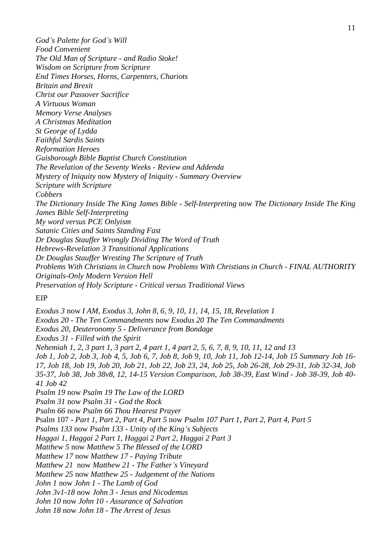*God's Palette for God's Will Food Convenient The Old Man of Scripture - and Radio Stoke! Wisdom on Scripture from Scripture End Times Horses, Horns, Carpenters, Chariots Britain and Brexit Christ our Passover Sacrifice A Virtuous Woman Memory Verse Analyses A Christmas Meditation St George of Lydda Faithful Sardis Saints Reformation Heroes Guisborough Bible Baptist Church Constitution The Revelation of the Seventy Weeks - Review and Addenda Mystery of Iniquity* now *Mystery of Iniquity - Summary Overview Scripture with Scripture Cobbers The Dictionary Inside The King James Bible - Self-Interpreting* now *The Dictionary Inside The King James Bible Self-Interpreting My word versus PCE Onlyism Satanic Cities and Saints Standing Fast Dr Douglas Stauffer Wrongly Dividing The Word of Truth Hebrews-Revelation 3 Transitional Applications Dr Douglas Stauffer Wresting The Scripture of Truth Problems With Christians in Church* now *Problems With Christians in Church - FINAL AUTHORITY Originals-Only Modern Version Hell Preservation of Holy Scripture - Critical versus Traditional Views*

#### EIP

*[Exodus 3](https://www.timefortruth.co.uk/content/pages/documents/1448040879.pdf)* now *I AM*, *Exodus 3*, *John 8*, *6*, *9*, *10*, *11*, *14*, *15*, *18*, *Revelation 1 [Exodus 20](https://www.timefortruth.co.uk/content/pages/documents/1487534496.pdf) - The Ten Commandments* now *[Exodus 20](https://www.timefortruth.co.uk/content/pages/documents/1487534496.pdf) [T](https://www.timefortruth.co.uk/content/pages/documents/1570993704.pdf)he Ten Commandments Exodus 20*, *[Deuteronomy 5](https://www.timefortruth.co.uk/content/pages/documents/1375635917.pdf) - Deliverance from Bondage [Exodus 31](https://www.timefortruth.co.uk/content/pages/documents/1417886478.pdf) - Filled with the Spirit [Nehemiah 1](https://www.timefortruth.co.uk/content/pages/documents/1447018255.pdf)*, *[2](https://www.timefortruth.co.uk/content/pages/documents/1447018269.pdf)*, *[3 part 1](https://www.timefortruth.co.uk/content/pages/documents/1447018275.pdf)*, *[3 part 2](https://www.timefortruth.co.uk/content/pages/documents/1447018281.pdf)*, *[4 part 1](https://www.timefortruth.co.uk/content/pages/documents/1447018287.pdf)*, *[4 part 2](https://www.timefortruth.co.uk/content/pages/documents/1447018292.pdf)*, *[5](https://www.timefortruth.co.uk/content/pages/documents/1447535690.pdf)*, *[6](https://www.timefortruth.co.uk/content/pages/documents/1447535707.pdf)*, *[7](https://www.timefortruth.co.uk/content/pages/documents/1447535714.pdf)*, *[8](https://www.timefortruth.co.uk/content/pages/documents/1447535719.pdf)*, *[9](https://www.timefortruth.co.uk/content/pages/documents/1447535723.pdf)*, *[10](https://www.timefortruth.co.uk/content/pages/documents/1447536836.pdf)*, *[11](https://www.timefortruth.co.uk/content/pages/documents/1447536840.pdf)*, *[12](https://www.timefortruth.co.uk/content/pages/documents/1447536844.pdf) and [13](https://www.timefortruth.co.uk/content/pages/documents/1447536933.pdf) [Job 1](https://www.timefortruth.co.uk/content/pages/documents/1445722974.pdf)*[,](https://www.timefortruth.co.uk/content/pages/documents/1396705501.pdf) *[Job 2](https://www.timefortruth.co.uk/content/pages/documents/1445722984.pdf)*, *[Job 3](https://www.timefortruth.co.uk/content/pages/documents/1397158083.pdf)*, *[Job 4](https://www.timefortruth.co.uk/content/pages/documents/1397428517.pdf)*, *5*, *[Job 6](https://www.timefortruth.co.uk/content/pages/documents/1399652199.pdf)*, *7*, *[Job 8](https://www.timefortruth.co.uk/content/pages/documents/1399723690.pdf)*, *[Job 9](https://www.timefortruth.co.uk/content/pages/documents/1401548719.pdf)*, *10*, *[Job 11](https://www.timefortruth.co.uk/content/pages/documents/1401548751.pdf)*, *[Job 12-14](https://www.timefortruth.co.uk/content/pages/documents/1402227092.pdf)*, *[Job 15 Summary Job 16-](https://www.timefortruth.co.uk/content/pages/documents/1409440795.pdf) [17](https://www.timefortruth.co.uk/content/pages/documents/1409440795.pdf)*, *[Job 18](https://www.timefortruth.co.uk/content/pages/documents/1410331847.pdf)*, *[Job 19](https://www.timefortruth.co.uk/content/pages/documents/1410332182.pdf)*, *[Job 20](https://www.timefortruth.co.uk/content/pages/documents/1411848046.pdf)*, *[Job 21](https://www.timefortruth.co.uk/content/pages/documents/1411848137.pdf)*, *[Job 22](https://www.timefortruth.co.uk/content/pages/documents/1412898295.pdf)*, *[Job 23](https://www.timefortruth.co.uk/content/pages/documents/1413640089.pdf)*, *24*, *[Job](https://www.timefortruth.co.uk/content/pages/documents/1414537983.pdf) 25*, *[Job 26-28](https://www.timefortruth.co.uk/content/pages/documents/1456068895.pdf)*, *[Job](https://www.timefortruth.co.uk/content/pages/documents/1415923534.pdf) [29-31](https://www.timefortruth.co.uk/content/pages/documents/1416961719.pdf)*, *Job 32-3[4](https://www.timefortruth.co.uk/content/pages/documents/1421499789.pdf)*, *[Job](https://www.timefortruth.co.uk/content/pages/documents/1422695477.pdf)  [35-37](https://www.timefortruth.co.uk/content/pages/documents/1422695477.pdf)*, *[Job 38](https://www.timefortruth.co.uk/content/pages/documents/1424624790.pdf)*, *Job 38v8*, *12*, *[14-15 Version Comparison](https://www.timefortruth.co.uk/content/pages/documents/1309716622.pdf)*, *[Job 38-39](https://www.timefortruth.co.uk/content/pages/documents/1424203898.pdf)*, *[East Wind](https://www.timefortruth.co.uk/content/pages/documents/1459606105.pdf) - Job 38-39*, *[Job 40-](https://www.timefortruth.co.uk/content/pages/documents/1424543170.pdf) [41](https://www.timefortruth.co.uk/content/pages/documents/1424543170.pdf) [Job 42](https://www.timefortruth.co.uk/content/pages/documents/1424543035.pdf) [Psalm 19](https://www.timefortruth.co.uk/content/pages/documents/1511816989.pdf)* now *Psalm 19 The Law of the LORD [Psalm 31](https://www.timefortruth.co.uk/content/pages/documents/1438029818.pdf)* now *Psalm 31 - God the Rock [Psalm 66](https://www.timefortruth.co.uk/content/pages/documents/1484521112.pdf)* now *Psalm 66 Thou Hearest Prayer* Psalm 107 *- [Part 1](https://www.timefortruth.co.uk/content/pages/documents/1469906158.pdf)*, *[Part 2](https://www.timefortruth.co.uk/content/pages/documents/1469906164.pdf)*, *[Part 4](https://www.timefortruth.co.uk/content/pages/documents/1469906173.pdf)*, *[Part 5](https://www.timefortruth.co.uk/content/pages/documents/1469906178.pdf)* now *Psalm 107 [Part 1](https://www.timefortruth.co.uk/content/pages/documents/1469906158.pdf)*, *[Part 2](https://www.timefortruth.co.uk/content/pages/documents/1469906164.pdf)*, *[Part 4](https://www.timefortruth.co.uk/content/pages/documents/1469906173.pdf)*, *[Part 5](https://www.timefortruth.co.uk/content/pages/documents/1469906178.pdf) [Psalms 133](https://www.timefortruth.co.uk/content/pages/documents/1392756032.pdf)* now *Psalm 133 - Unity of the King's Subjects [Haggai 1](https://www.timefortruth.co.uk/content/pages/documents/1353868294.pdf)*, *[Haggai 2 Part 1](https://www.timefortruth.co.uk/content/pages/documents/1570993795.pdf)*, *[Haggai 2 Part 2](https://www.timefortruth.co.uk/content/pages/documents/1355006001.pdf)*, *[Haggai 2 Part 3](https://www.timefortruth.co.uk/content/pages/documents/1355271107.pdf) [Matthew 5](https://www.timefortruth.co.uk/content/pages/documents/1486858587.pdf)* now *Matthew 5 The Blessed of the LORD [Matthew 17](https://www.timefortruth.co.uk/content/pages/documents/1408298801.pdf)* now *Matthew 17 - Paying Tribute [Matthew 21](https://www.timefortruth.co.uk/content/pages/documents/1407961259.pdf)* now *Matthew 21 - The Father's Vineyard [Matthew 25](https://www.timefortruth.co.uk/content/pages/documents/1445286309.pdf)* now *Matthew 25 - Judgement of the Nations [John 1](https://www.timefortruth.co.uk/content/pages/documents/1402781219.pdf)* now *John 1 - The Lamb of God [John 3v1-18](https://www.timefortruth.co.uk/content/pages/documents/1445722925.pdf)* now *John 3 - Jesus and Nicodemus [John 10](https://www.timefortruth.co.uk/content/pages/documents/1445722884.pdf)* now *John 10 - Assurance of Salvation [John 18](https://www.timefortruth.co.uk/content/pages/documents/1404004557.pdf)* now *John 18 - The Arrest of Jesus*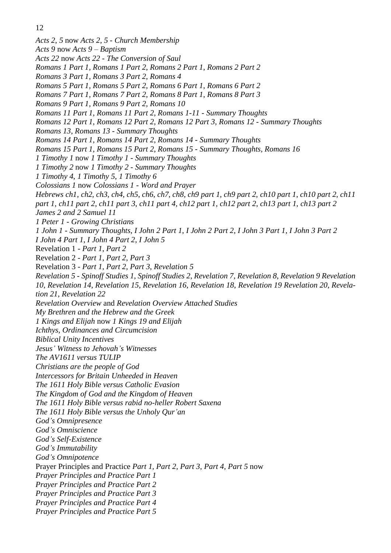*[Acts 2](https://www.timefortruth.co.uk/content/pages/documents/1445286342.pdf)*, *5* now *Acts 2*, *5 - Church Membership [Acts 9](https://www.timefortruth.co.uk/content/pages/documents/1570993915.pdf)* now *Acts 9 – Baptism [Acts 22](https://www.timefortruth.co.uk/content/pages/documents/1374957335.pdf)* now *Acts 22 - The Conversion of Saul [Romans 1 Part 1](https://www.timefortruth.co.uk/content/pages/documents/1432403224.pdf)*, *[Romans 1 Part 2](https://www.timefortruth.co.uk/content/pages/documents/1431806929.pdf)*, *[Romans 2 Part 1](https://www.timefortruth.co.uk/content/pages/documents/1432403259.pdf)*, *[Romans 2 Part 2](https://www.timefortruth.co.uk/content/pages/documents/1432755305.pdf) [Romans 3 Part 1](https://www.timefortruth.co.uk/content/pages/documents/1571082048.pdf)*, *[Romans 3 Part 2](https://www.timefortruth.co.uk/content/pages/documents/1433974901.pdf)*, *[Romans 4](https://www.timefortruth.co.uk/content/pages/documents/1434826965.pdf) [Romans 5 Part 1](https://www.timefortruth.co.uk/content/pages/documents/1435439797.pdf)*, *[Romans 5 Part 2](https://www.timefortruth.co.uk/content/pages/documents/1436723459.pdf)*, *[Romans 6 Part 1](https://www.timefortruth.co.uk/content/pages/documents/1438029270.pdf)*, *[Romans 6 Part 2](https://www.timefortruth.co.uk/content/pages/documents/1439041026.pdf) [Romans 7 Part 1](https://www.timefortruth.co.uk/content/pages/documents/1452459398.pdf)*, *[Romans 7 Part 2](https://www.timefortruth.co.uk/content/pages/documents/1440964419.pdf)*, *[Romans 8 Part 1](https://www.timefortruth.co.uk/content/pages/documents/1442957862.pdf)*, *[Romans 8 Part 3](https://www.timefortruth.co.uk/content/pages/documents/1457137530.pdf) [Romans 9 Part 1](https://www.timefortruth.co.uk/content/pages/documents/1444474515.pdf)*, *[Romans 9 Part 2](https://www.timefortruth.co.uk/content/pages/documents/1444474545.pdf)*, *[Romans 10](https://www.timefortruth.co.uk/content/pages/documents/1445191895.pdf) [Romans 11 Part 1](https://www.timefortruth.co.uk/content/pages/documents/1450225342.pdf)*, *[Romans 11 Part 2](https://www.timefortruth.co.uk/content/pages/documents/1450225347.pdf)*, *[Romans 1-11](https://www.timefortruth.co.uk/content/pages/documents/1571082134.pdf) - [Summary Thoughts](https://www.timefortruth.co.uk/content/pages/documents/1571082134.pdf) [Romans 12 Part 1](https://www.timefortruth.co.uk/content/pages/documents/1450225692.pdf)*, *[Romans 12 Part 2](https://www.timefortruth.co.uk/content/pages/documents/1450225700.pdf)*, *[Romans 12 Part 3](https://www.timefortruth.co.uk/content/pages/documents/1571082221.pdf)*, *[Romans 12](https://www.timefortruth.co.uk/content/pages/documents/1450225857.pdf) - Summary Thoughts [Romans 13](https://www.timefortruth.co.uk/content/pages/documents/1452624444.pdf)*, *[Romans 13](https://www.timefortruth.co.uk/content/pages/documents/1452459258.pdf) - Summary Thoughts [Romans 14 Part 1](https://www.timefortruth.co.uk/content/pages/documents/1571082264.pdf)*, *[Romans 14 Part 2](https://www.timefortruth.co.uk/content/pages/documents/1454168892.pdf)*, *[Romans 14](https://www.timefortruth.co.uk/content/pages/documents/1450462212.pdf) - Summary Thoughts [Romans 15 Part 1](https://www.timefortruth.co.uk/content/pages/documents/1458072684.pdf)*, *[Romans 15 Part 2](https://www.timefortruth.co.uk/content/pages/documents/1454623097.pdf)*, *[Romans 15](https://www.timefortruth.co.uk/content/pages/documents/1450462216.pdf) - Summary Thoughts*, *[Romans 16](https://www.timefortruth.co.uk/content/pages/documents/1571082296.pdf) [1 Timothy 1](https://www.timefortruth.co.uk/content/pages/documents/1571082486.pdf)* now *1 Timothy 1 - Summary Thoughts [1 Timothy 2](https://www.timefortruth.co.uk/content/pages/documents/1449931964.pdf)* now *1 Timothy 2 - Summary Thoughts [1 Timothy 4](https://www.timefortruth.co.uk/content/pages/documents/1381184604.pdf)*, *[1 Timothy 5](https://www.timefortruth.co.uk/content/pages/documents/1381186447.pdf)*, *[1 Timothy 6](https://www.timefortruth.co.uk/content/pages/documents/1381439451.pdf) [Colossians 1](https://www.timefortruth.co.uk/content/pages/documents/1445286455.pdf)* now *Colossians 1 - Word and Prayer [Hebrews ch1](https://www.timefortruth.co.uk/content/pages/documents/1363298191.pdf)*, *[ch2](https://www.timefortruth.co.uk/content/pages/documents/1358727231.pdf)*, *[ch3](https://www.timefortruth.co.uk/content/pages/documents/1358970743.pdf)*, *[ch4](https://www.timefortruth.co.uk/content/pages/documents/1408298839.pdf)*, *[ch5](https://www.timefortruth.co.uk/content/pages/documents/1360532560.pdf)*, *[ch6](https://www.timefortruth.co.uk/content/pages/documents/1360971739.pdf)*, *[ch7](https://www.timefortruth.co.uk/content/pages/documents/1363297768.pdf)*, *[ch8](https://www.timefortruth.co.uk/content/pages/documents/1363297807.pdf)*, *[ch9 part 1](https://www.timefortruth.co.uk/content/pages/documents/1363297993.pdf)*, *[ch9 part 2](https://www.timefortruth.co.uk/content/pages/documents/1405810721.pdf)*, *[ch10 part 1](https://www.timefortruth.co.uk/content/pages/documents/1365888769.pdf)*, *[ch10 part 2](https://www.timefortruth.co.uk/content/pages/documents/1366306985.pdf)*, *[ch11](https://www.timefortruth.co.uk/content/pages/documents/1369003587.pdf)  [part 1](https://www.timefortruth.co.uk/content/pages/documents/1369003587.pdf)*, *[ch11 part 2](https://www.timefortruth.co.uk/content/pages/documents/1571082615.pdf)*, *[ch11 part 3](https://www.timefortruth.co.uk/content/pages/documents/1369002890.pdf)*, *[ch11 part 4](https://www.timefortruth.co.uk/content/pages/documents/1369002961.pdf)*, *[ch12 part 1](https://www.timefortruth.co.uk/content/pages/documents/hebrews-12-part-1.pdf)*, *[ch12 part 2](https://www.timefortruth.co.uk/content/pages/documents/1371071839.pdf)*, *[ch13 part 1](https://www.timefortruth.co.uk/content/pages/documents/1371072490.pdf)*, *[ch13 part 2](https://www.timefortruth.co.uk/content/pages/documents/1371912639.pdf) [James 2 and 2 Samuel 11](https://www.timefortruth.co.uk/content/pages/documents/1588452969.pdf) [1 Peter 1](https://www.timefortruth.co.uk/content/pages/documents/1445286604.pdf) - Growing Christians [1 John 1](https://www.timefortruth.co.uk/content/pages/documents/1445191039.pdf) - Summary Thoughts*, *[I John 2 Part 1](https://www.timefortruth.co.uk/content/pages/documents/1445191661.pdf)*, *[I John 2 Part 2](https://www.timefortruth.co.uk/content/pages/documents/1445191670.pdf)*, *[I John 3 Part 1](https://www.timefortruth.co.uk/content/pages/documents/1385601923.pdf)*, *[I John 3 Part 2](https://www.timefortruth.co.uk/content/pages/documents/1386198112.pdf) [I John 4 Part 1](https://www.timefortruth.co.uk/content/pages/documents/1583612466.pdf)*[,](https://www.timefortruth.co.uk/content/pages/documents/1583612466.pdf) *[I John 4 Part 2](https://www.timefortruth.co.uk/content/pages/documents/1445191840.pdf)*, *[I John 5](https://www.timefortruth.co.uk/content/pages/documents/1391974500.pdf)* Revelation 1 *- [Part 1](https://www.timefortruth.co.uk/content/pages/documents/1511820659.pdf)*, *[Part 2](https://www.timefortruth.co.uk/content/pages/documents/1511820666.pdf)* Revelation 2 *- [Part 1](https://www.timefortruth.co.uk/content/pages/documents/1571165423.pdf)*, *[Part 2](https://www.timefortruth.co.uk/content/pages/documents/1571165475.pdf)*, *[Part 3](https://www.timefortruth.co.uk/content/pages/documents/1502221272.pdf)* Revelation 3 *- [Part 1](https://www.timefortruth.co.uk/content/pages/documents/1502221621.pdf)*, *[Part 2](https://www.timefortruth.co.uk/content/pages/documents/1571165530.pdf)*, *[Part 3](https://www.timefortruth.co.uk/content/pages/documents/1571165637.pdf)*, *[Revelation 5](https://www.timefortruth.co.uk/content/pages/documents/1506369636.pdf) Revelation 5 - [Spinoff Studies 1](https://www.timefortruth.co.uk/content/pages/documents/1504018298.pdf)*[,](https://www.timefortruth.co.uk/content/pages/documents/1571165733.pdf) *[Spinoff Studies 2](https://www.timefortruth.co.uk/content/pages/documents/1571165815.pdf)*, *[Revelation 7](https://www.timefortruth.co.uk/content/pages/documents/1588954834.pdf)*, *[Revelation 8](https://www.timefortruth.co.uk/content/pages/documents/1522540317.pdf)*, *[Revelation 9](https://www.timefortruth.co.uk/content/pages/documents/1571166751.pdf) [Revelation](https://www.timefortruth.co.uk/content/pages/documents/1571166784.pdf)  [10](https://www.timefortruth.co.uk/content/pages/documents/1571166784.pdf)*, *[Revelation 14](https://www.timefortruth.co.uk/content/pages/documents/1558335943.pdf)*, *[Revelation 15](https://www.timefortruth.co.uk/content/pages/documents/1561828845.pdf)*, *[Revelation 16](https://www.timefortruth.co.uk/content/pages/documents/1566172549.pdf)*, *[Revelation 18](https://www.timefortruth.co.uk/content/pages/documents/1571245016.pdf)*[,](https://www.timefortruth.co.uk/content/pages/documents/1573924867.pdf) *[Revelation 19](https://www.timefortruth.co.uk/content/pages/documents/1583020050.pdf) [Revelation 20](https://www.timefortruth.co.uk/content/pages/documents/1571245085.pdf)*, *[Revela](https://www.timefortruth.co.uk/content/pages/documents/1571245116.pdf)[tion 21](https://www.timefortruth.co.uk/content/pages/documents/1571245116.pdf)*, *[Revelation 22](https://www.timefortruth.co.uk/content/pages/documents/1571245165.pdf) [Revelation Overview](https://www.timefortruth.co.uk/content/pages/documents/1571166943.pdf)* and *[Revelation Overview Attached Studies](https://www.timefortruth.co.uk/content/pages/documents/1571167048.pdf) My Brethren and the Hebrew and the Greek 1 Kings and Elijah* now *1 Kings 19 and Elijah Ichthys*, *[Ordinances and Circumcision](https://www.timefortruth.co.uk/content/pages/documents/1390157853.pdf) [Biblical Unity Incentives](https://www.timefortruth.co.uk/content/pages/documents/1392756091.pdf) Jesus' [Witness to Jehovah's Witnesses](https://www.timefortruth.co.uk/content/pages/documents/1416961265.pdf) [The AV1611 versus TULIP](https://www.timefortruth.co.uk/content/pages/documents/1407958638.pdf) [Christians are the people of God](https://www.timefortruth.co.uk/content/pages/documents/1571249227.pdf) [Intercessors for Britain Unheeded in Heaven](https://www.timefortruth.co.uk/content/pages/documents/1452623876.pdf) [The 1611 Holy Bible versus Catholic Evasion](https://www.timefortruth.co.uk/content/pages/documents/1437779984.pdf) [The Kingdom of God and the Kingdom of Heaven](https://www.timefortruth.co.uk/content/pages/documents/1438030078.pdf) [The 1611 Holy Bible versus rabid no-heller Robert Saxena](https://www.timefortruth.co.uk/content/pages/documents/1571249541.pdf) [The 1611 Holy Bible versus the Unholy Qur'an](https://www.timefortruth.co.uk/content/pages/documents/1571336790.pdf) God's Omnipresence God's Omniscience God's Self-Existence God's Immutability God's Omnipotence* Prayer Principles and Practice *[Part 1,](https://www.timefortruth.co.uk/content/pages/documents/1571336950.pdf) [Part 2,](https://www.timefortruth.co.uk/content/pages/documents/1454620325.pdf) [Part 3,](https://www.timefortruth.co.uk/content/pages/documents/1571336985.pdf) [Part 4,](https://www.timefortruth.co.uk/content/pages/documents/1454623032.pdf) [Part 5](https://www.timefortruth.co.uk/content/pages/documents/1571337034.pdf)* now *Prayer Principles and Practice Part 1 Prayer Principles and Practice Part 2 Prayer Principles and Practice Part 3 Prayer Principles and Practice Part 4 Prayer Principles and Practice Part 5*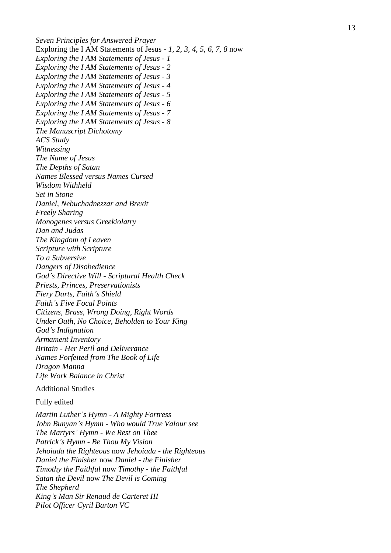*Seven Principles for Answered Prayer* Exploring the I AM Statements of Jesus *- [1,](https://www.timefortruth.co.uk/content/pages/documents/1456591927.pdf) [2,](https://www.timefortruth.co.uk/content/pages/documents/1457137422.pdf) [3,](https://www.timefortruth.co.uk/content/pages/documents/1457137463.pdf) [4,](https://www.timefortruth.co.uk/content/pages/documents/1457201555.pdf) [5,](https://www.timefortruth.co.uk/content/pages/documents/1458408717.pdf) [6,](https://www.timefortruth.co.uk/content/pages/documents/1458927544.pdf) [7,](https://www.timefortruth.co.uk/content/pages/documents/1459606101.pdf) [8](https://www.timefortruth.co.uk/content/pages/documents/1571337145.pdf)* now *Exploring the I AM Statements of Jesus - 1 Exploring the I AM Statements of Jesus - 2 Exploring the I AM Statements of Jesus - 3 Exploring the I AM Statements of Jesus - 4 Exploring the I AM Statements of Jesus - 5 Exploring the I AM Statements of Jesus - 6 Exploring the I AM Statements of Jesus - 7 Exploring the I AM Statements of Jesus - 8 [The Manuscript Dichotomy](https://www.timefortruth.co.uk/content/pages/documents/1483721014.pdf) [ACS Study](https://www.timefortruth.co.uk/content/pages/documents/1485037069.pdf) [Witnessing](https://www.timefortruth.co.uk/content/pages/documents/1485111704.pdf) [The Name of Jesus](https://www.timefortruth.co.uk/content/pages/documents/1486858767.pdf) [The Depths of Satan](https://www.timefortruth.co.uk/content/pages/documents/1491693502.pdf) [Names Blessed versus Names Cursed](https://www.timefortruth.co.uk/content/pages/documents/1494523204.pdf) [Wisdom Withheld](https://www.timefortruth.co.uk/content/pages/documents/1494796215.pdf) [Set in Stone](https://www.timefortruth.co.uk/content/pages/documents/1497193990.pdf) [Daniel, Nebuchadnezzar and Brexit](https://www.timefortruth.co.uk/content/pages/documents/1497716339.pdf) [Freely Sharing](https://www.timefortruth.co.uk/content/pages/documents/1504018437.pdf) [Monogenes versus Greekiolatry](https://www.timefortruth.co.uk/content/pages/documents/1571337787.pdf) [Dan and Judas](https://www.timefortruth.co.uk/content/pages/documents/1513041712.pdf) [The Kingdom of Leaven](https://www.timefortruth.co.uk/content/pages/documents/1518830363.pdf) [Scripture with Scripture](https://www.timefortruth.co.uk/content/pages/documents/scripture-with-scripture-1-.pdf) To a [Subversive](https://www.timefortruth.co.uk/content/pages/documents/1518830431.pdf) [Dangers of Disobedience](https://www.timefortruth.co.uk/content/pages/documents/1522539781.pdf) God 's Directive Will - [Scriptural Health Check](https://www.timefortruth.co.uk/content/pages/documents/1532212723.pdf) [Priests, Princes, Preservationists](https://www.timefortruth.co.uk/content/pages/documents/1571337871.pdf) [Fiery Darts, Faith](https://www.timefortruth.co.uk/content/pages/documents/1535367221.pdf) 's Shield Faith ['s Five Focal Points](https://www.timefortruth.co.uk/content/pages/documents/1535367118.pdf) [Citizens, Brass, Wrong Doing, Right Words](https://www.timefortruth.co.uk/content/pages/documents/1536442980.pdf) [Under Oath, No Choice, Beholden to Your King](https://www.timefortruth.co.uk/content/pages/documents/1540067844.pdf) God ['s Indignation](https://www.timefortruth.co.uk/content/pages/documents/1581537050.pdf) [Armament Inventory](https://www.timefortruth.co.uk/content/pages/documents/1549134027.pdf) Britain - [Her Peril and Deliverance](https://www.timefortruth.co.uk/content/pages/documents/1554417963.pdf) [Names Forfeited from The Book of Life](https://www.timefortruth.co.uk/content/pages/documents/1554417714.pdf) [Dragon Manna](https://www.timefortruth.co.uk/content/pages/documents/1566172070.pdf) Life Work Balance in Christ* Additional Studies Fully edited *[Martin Luther](https://www.timefortruth.co.uk/content/pages/documents/1384635898.pdf) 's Hymn - A Mighty Fortress [John Bunyan](https://www.timefortruth.co.uk/content/pages/documents/1334599733.pdf) 's Hymn - Who would True Valour se e [The Martyrs](https://www.timefortruth.co.uk/content/pages/documents/1337388557.pdf) ' Hymn - We Rest on Thee Patrick ['s Hymn](https://www.timefortruth.co.uk/content/pages/documents/1396710403.pdf) - Be Thou My Vision Jehoiada the Righteous* now *Jehoiada - the Righteous Daniel [the Finisher](https://www.timefortruth.co.uk/content/pages/documents/1327071283.pdf)* now *Daniel - [the Finisher](https://www.timefortruth.co.uk/content/pages/documents/1327071283.pdf) Timothy the Faithful* now *Timothy - the Faithfu l Satan the Devil* now *The Devil is Coming*

*The Shepherd*

*King 's Man Sir Renaud de Carteret III Pilot Officer Cyril Barton VC*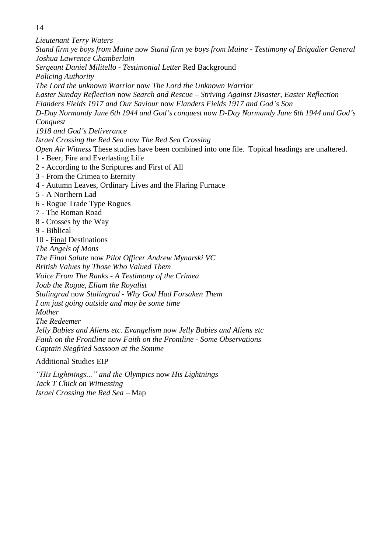*Lieutenant Terry Waters Stand firm ye boys from Maine* now *Stand firm ye boys from Maine - Testimony of Brigadier General Joshua Lawrence Chamberlain Sergeant Daniel Militello - Testimonial Letter* Red Background *Policing Authority The Lord the unknown Warrior* now *The Lord the Unknown Warrior Easter Sunday Reflection* now *Search and Rescue – Striving Against Disaster, Easter Reflection Flanders Fields 1917 and Our Saviour* now *Flanders Fields 1917 and God's Son D-Day Normandy June 6th 1944 and God's conquest* now *D-Day Normandy June 6th 1944 and God's Conquest 1918 and God's Deliverance Israel Crossing the Red Sea* now *The Red Sea Crossing Open Air Witness* These studies have been combined into one file. Topical headings are unaltered. 1 - Beer, Fire and Everlasting Life [2](https://www.timefortruth.co.uk/content/pages/documents/1381184707.pdf) - According to the Scriptures and First of All [3 -](https://www.timefortruth.co.uk/content/pages/documents/1381186817.pdf) From the Crimea to Eternity [4](https://www.timefortruth.co.uk/content/pages/documents/1381439325.pdf) - Autumn Leaves, Ordinary Lives and the Flaring Furnace [5](https://www.timefortruth.co.uk/content/pages/documents/1382900579.pdf) - A Northern Lad [6](https://www.timefortruth.co.uk/content/pages/documents/1386116755.pdf) - Rogue Trade Type Rogues [7](https://www.timefortruth.co.uk/content/pages/documents/1400427240.pdf) - The Roman Road [8](https://www.timefortruth.co.uk/content/pages/documents/1401550906.pdf) - Crosses by the Way [9](https://www.timefortruth.co.uk/content/pages/documents/1402781553.pdf) - Biblical [10](https://www.timefortruth.co.uk/content/pages/documents/1404422535.pdf) - Final Destinations *The Angels of Mons [The Final Salute](https://www.timefortruth.co.uk/content/pages/documents/1433587318.pdf)* now *Pilot Officer Andrew Mynarski VC British Values by Those Who Valued Them Voice From The Ranks - A Testimony of the Crimea Joab the Rogue, Eliam the Royalist Stalingrad* now *Stalingrad - Why God Had Forsaken Them I am just going outside and may be some time Mother The Redeemer Jelly Babies and Aliens etc. Evangelism* now *Jelly Babies and Aliens etc Faith on the Frontline* now *Faith on the Frontline - Some Observations Captain Siegfried Sassoon at the Somme* Additional Studies EIP

*["His Lightnings..." and the](https://www.timefortruth.co.uk/content/pages/documents/1341354909.pdf) Olympics* now *His Lightnings Jack T Chick on Witnessing Israel Crossing the Red Sea* – Map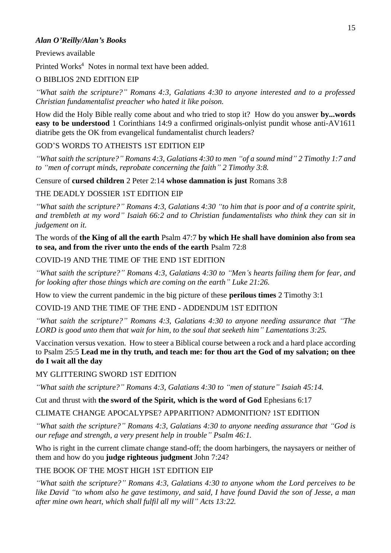#### *Alan O'Reilly/Alan's Books*

#### Previews available

Printed Works<sup>4</sup> Notes in normal text have been added.

## O BIBLIOS 2ND EDITION EIP

*"What saith the scripture?" Romans 4:3, Galatians 4:30 to anyone interested and to a professed Christian fundamentalist preacher who hated it like poison.*

How did the Holy Bible really come about and who tried to stop it? How do you answer **by...words easy to be understood** 1 Corinthians 14:9 a confirmed originals-onlyist pundit whose anti-AV1611 diatribe gets the OK from evangelical fundamentalist church leaders?

## GOD'S WORDS TO ATHEISTS 1ST EDITION EIP

*"What saith the scripture?" Romans 4:3, Galatians 4:30 to men "of a sound mind" 2 Timothy 1:7 and to "men of corrupt minds, reprobate concerning the faith" 2 Timothy 3:8.*

Censure of **cursed children** 2 Peter 2:14 **whose damnation is just** Romans 3:8

## THE DEADLY DOSSIER 1ST EDITION EIP

*"What saith the scripture?" Romans 4:3, Galatians 4:30 "to him that is poor and of a contrite spirit, and trembleth at my word" Isaiah 66:2 and to Christian fundamentalists who think they can sit in judgement on it.*

The words of **the King of all the earth** Psalm 47:7 **by which He shall have dominion also from sea to sea, and from the river unto the ends of the earth** Psalm 72:8

## COVID-19 AND THE TIME OF THE END 1ST EDITION

*"What saith the scripture?" Romans 4:3, Galatians 4:30 to "Men's hearts failing them for fear, and for looking after those things which are coming on the earth" Luke 21:26.*

How to view the current pandemic in the big picture of these **perilous times** 2 Timothy 3:1

COVID-19 AND THE TIME OF THE END - ADDENDUM 1ST EDITION

*"What saith the scripture?" Romans 4:3, Galatians 4:30 to anyone needing assurance that "The LORD is good unto them that wait for him, to the soul that seeketh him" Lamentations 3:25.*

Vaccination versus vexation. How to steer a Biblical course between a rock and a hard place according to Psalm 25:5 **Lead me in thy truth, and teach me: for thou art the God of my salvation; on thee do I wait all the day**

## MY GLITTERING SWORD 1ST EDITION

*"What saith the scripture?" Romans 4:3, Galatians 4:30 to "men of stature" Isaiah 45:14.*

Cut and thrust with **the sword of the Spirit, which is the word of God** Ephesians 6:17

CLIMATE CHANGE APOCALYPSE? APPARITION? ADMONITION? 1ST EDITION

*"What saith the scripture?" Romans 4:3, Galatians 4:30 to anyone needing assurance that "God is our refuge and strength, a very present help in trouble" Psalm 46:1.*

Who is right in the current climate change stand-off; the doom harbingers, the naysayers or neither of them and how do you **judge righteous judgment** John 7:24?

## THE BOOK OF THE MOST HIGH 1ST EDITION EIP

*"What saith the scripture?" Romans 4:3, Galatians 4:30 to anyone whom the Lord perceives to be like David "to whom also he gave testimony, and said, I have found David the son of Jesse, a man after mine own heart, which shall fulfil all my will" Acts 13:22.*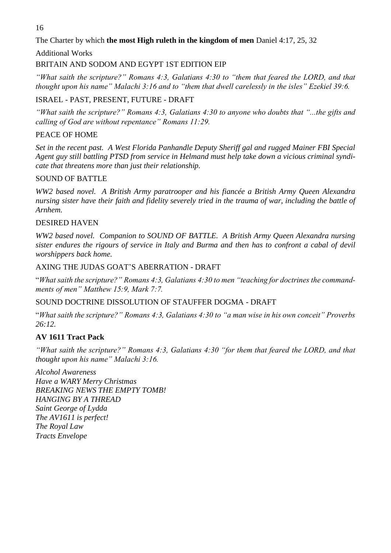The Charter by which **the most High ruleth in the kingdom of men** Daniel 4:17, 25, 32

Additional Works

## BRITAIN AND SODOM AND EGYPT 1ST EDITION EIP

*"What saith the scripture?" Romans 4:3, Galatians 4:30 to "them that feared the LORD, and that thought upon his name" Malachi 3:16 and to "them that dwell carelessly in the isles" Ezekiel 39:6.*

ISRAEL - PAST, PRESENT, FUTURE - DRAFT

*"What saith the scripture?" Romans 4:3, Galatians 4:30 to anyone who doubts that "...the gifts and calling of God are without repentance" Romans 11:29.*

## PEACE OF HOME

*Set in the recent past. A West Florida Panhandle Deputy Sheriff gal and rugged Mainer FBI Special Agent guy still battling PTSD from service in Helmand must help take down a vicious criminal syndicate that threatens more than just their relationship.*

## SOUND OF BATTLE

*WW2 based novel. A British Army paratrooper and his fiancée a British Army Queen Alexandra nursing sister have their faith and fidelity severely tried in the trauma of war, including the battle of Arnhem.*

## DESIRED HAVEN

*WW2 based novel. Companion to SOUND OF BATTLE. A British Army Queen Alexandra nursing sister endures the rigours of service in Italy and Burma and then has to confront a cabal of devil worshippers back home.*

## AXING THE JUDAS GOAT'S ABERRATION - DRAFT

"*What saith the scripture?" Romans 4:3, Galatians 4:30 to men "teaching for doctrines the commandments of men" Matthew 15:9, Mark 7:7.*

SOUND DOCTRINE DISSOLUTION OF STAUFFER DOGMA - DRAFT

"*What saith the scripture?" Romans 4:3, Galatians 4:30 to "a man wise in his own conceit" Proverbs 26:12.*

## **AV 1611 Tract Pack**

*"What saith the scripture?" Romans 4:3, Galatians 4:30 "for them that feared the LORD, and that thought upon his name" Malachi 3:16.*

*[Alcohol Awareness](https://www.timefortruth.co.uk/content/pages/documents/1604183013.pdf)  [Have a WARY Merry Christmas](https://www.timefortruth.co.uk/content/pages/documents/1604182995.pdf)  [BREAKING NEWS THE EMPTY TOMB!](https://www.timefortruth.co.uk/content/pages/documents/1604183005.pdf)  [HANGING BY A THREAD](https://www.timefortruth.co.uk/content/pages/documents/1604183000.pdf)  [Saint George of Lydda](https://www.timefortruth.co.uk/content/pages/documents/1604182990.pdf)  [The AV1611 is perfect!](https://www.timefortruth.co.uk/content/pages/documents/1604182985.pdf)  [The Royal Law](https://www.timefortruth.co.uk/content/pages/documents/1604182978.pdf)  [Tracts Envelope](https://www.timefortruth.co.uk/content/pages/documents/1604182971.pdf)*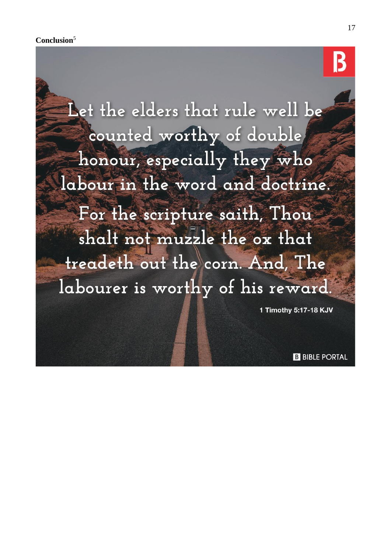Let the elders that rule well be counted worthy of double honour, especially they who labour in the word and doctrine. For the scripture saith, Thou shalt not muzzle the ox that treadeth out the corn. And, The labourer is worthy of his reward.

1 Timothy 5:17-18 KJV

**B** BIBLE PORTAL